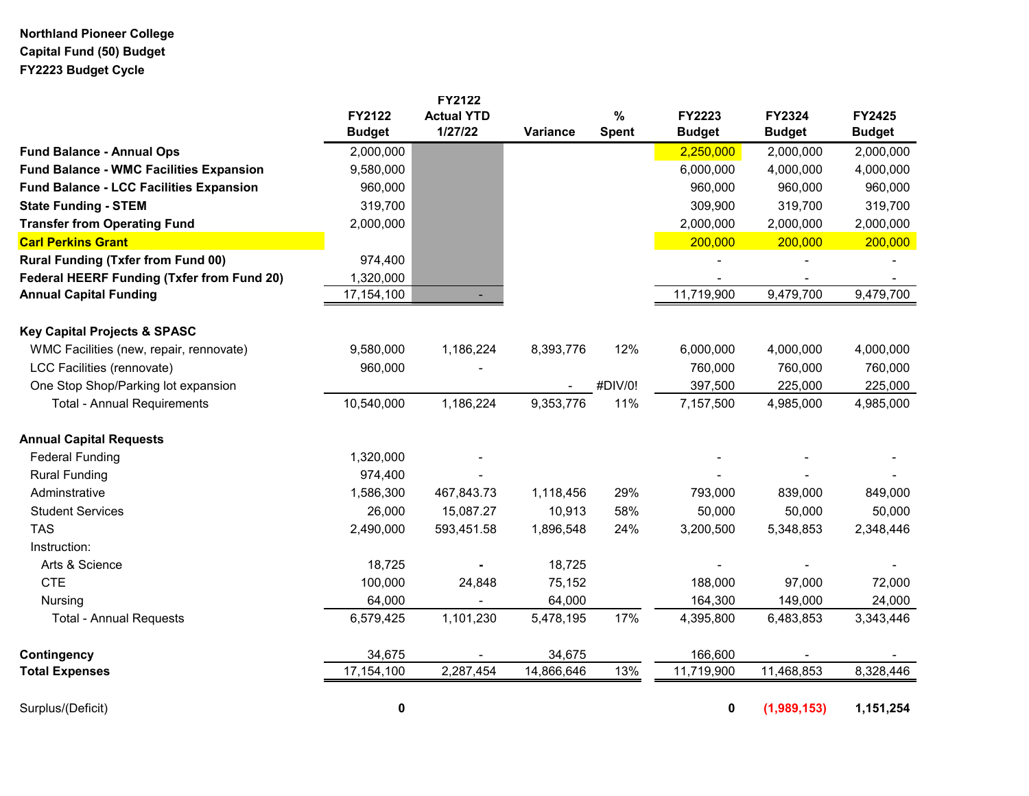## **Northland Pioneer College Capital Fund (50) Budget FY2223 Budget Cycle**

|                                                   |                         | <b>FY2122</b>                |            |                      |                         |                         |                                |
|---------------------------------------------------|-------------------------|------------------------------|------------|----------------------|-------------------------|-------------------------|--------------------------------|
|                                                   | FY2122<br><b>Budget</b> | <b>Actual YTD</b><br>1/27/22 | Variance   | $\%$<br><b>Spent</b> | FY2223<br><b>Budget</b> | FY2324<br><b>Budget</b> | <b>FY2425</b><br><b>Budget</b> |
| <b>Fund Balance - Annual Ops</b>                  | 2,000,000               |                              |            |                      | 2,250,000               | 2,000,000               | 2,000,000                      |
| <b>Fund Balance - WMC Facilities Expansion</b>    | 9,580,000               |                              |            |                      | 6,000,000               | 4,000,000               | 4,000,000                      |
| <b>Fund Balance - LCC Facilities Expansion</b>    | 960,000                 |                              |            |                      | 960,000                 | 960,000                 | 960,000                        |
| <b>State Funding - STEM</b>                       | 319,700                 |                              |            |                      | 309,900                 | 319,700                 | 319,700                        |
| <b>Transfer from Operating Fund</b>               | 2,000,000               |                              |            |                      | 2,000,000               | 2,000,000               | 2,000,000                      |
| <b>Carl Perkins Grant</b>                         |                         |                              |            |                      | 200,000                 | 200,000                 | 200,000                        |
| <b>Rural Funding (Txfer from Fund 00)</b>         | 974,400                 |                              |            |                      |                         |                         |                                |
| <b>Federal HEERF Funding (Txfer from Fund 20)</b> | 1,320,000               |                              |            |                      |                         |                         |                                |
| <b>Annual Capital Funding</b>                     | 17,154,100              |                              |            |                      | 11,719,900              | 9,479,700               | 9,479,700                      |
| <b>Key Capital Projects &amp; SPASC</b>           |                         |                              |            |                      |                         |                         |                                |
| WMC Facilities (new, repair, rennovate)           | 9,580,000               | 1,186,224                    | 8,393,776  | 12%                  | 6,000,000               | 4,000,000               | 4,000,000                      |
| LCC Facilities (rennovate)                        | 960,000                 |                              |            |                      | 760,000                 | 760,000                 | 760,000                        |
| One Stop Shop/Parking lot expansion               |                         |                              |            | #DIV/0!              | 397,500                 | 225,000                 | 225,000                        |
| <b>Total - Annual Requirements</b>                | 10,540,000              | 1,186,224                    | 9,353,776  | 11%                  | 7,157,500               | 4,985,000               | 4,985,000                      |
| <b>Annual Capital Requests</b>                    |                         |                              |            |                      |                         |                         |                                |
| <b>Federal Funding</b>                            | 1,320,000               |                              |            |                      |                         |                         |                                |
| <b>Rural Funding</b>                              | 974,400                 |                              |            |                      |                         |                         |                                |
| Adminstrative                                     | 1,586,300               | 467,843.73                   | 1,118,456  | 29%                  | 793,000                 | 839,000                 | 849,000                        |
| <b>Student Services</b>                           | 26,000                  | 15,087.27                    | 10,913     | 58%                  | 50,000                  | 50,000                  | 50,000                         |
| <b>TAS</b>                                        | 2,490,000               | 593,451.58                   | 1,896,548  | 24%                  | 3,200,500               | 5,348,853               | 2,348,446                      |
| Instruction:                                      |                         |                              |            |                      |                         |                         |                                |
| Arts & Science                                    | 18,725                  |                              | 18,725     |                      |                         |                         |                                |
| <b>CTE</b>                                        | 100,000                 | 24,848                       | 75,152     |                      | 188,000                 | 97,000                  | 72,000                         |
| Nursing                                           | 64,000                  |                              | 64,000     |                      | 164,300                 | 149,000                 | 24,000                         |
| <b>Total - Annual Requests</b>                    | 6,579,425               | 1,101,230                    | 5,478,195  | 17%                  | 4,395,800               | 6,483,853               | 3,343,446                      |
| Contingency                                       | 34,675                  |                              | 34,675     |                      | 166,600                 |                         |                                |
| <b>Total Expenses</b>                             | 17,154,100              | 2,287,454                    | 14,866,646 | 13%                  | 11,719,900              | 11,468,853              | 8,328,446                      |
| Surplus/(Deficit)                                 | 0                       |                              |            |                      | 0                       | (1,989,153)             | 1,151,254                      |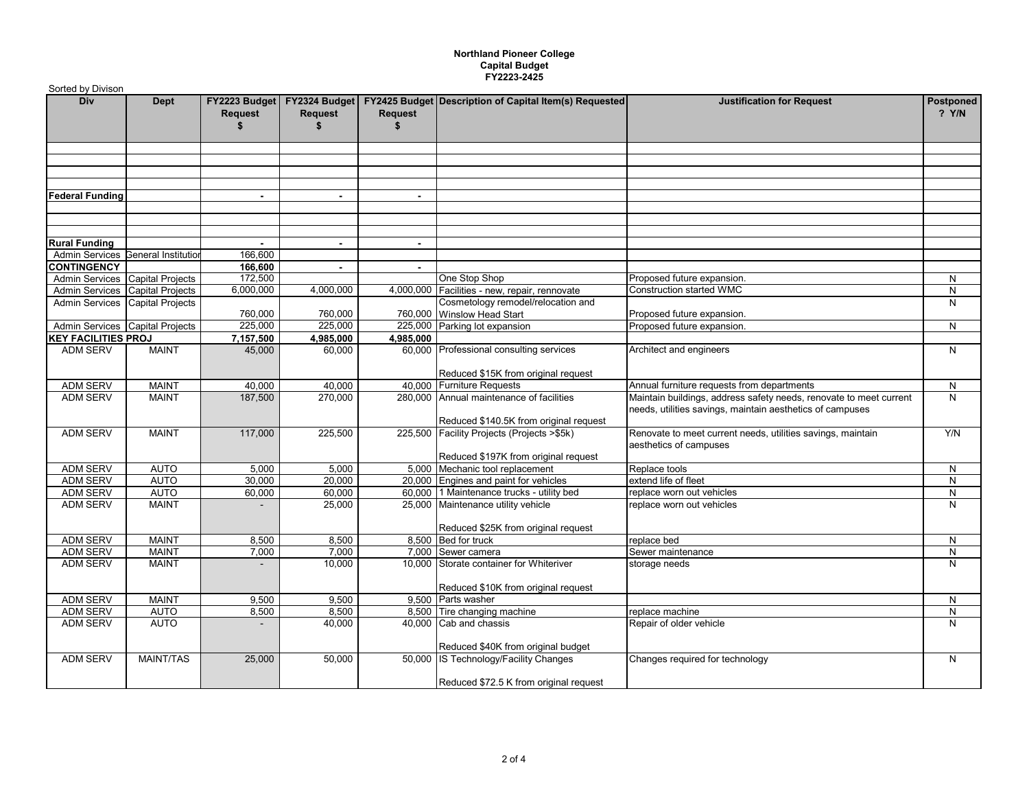## **Northland Pioneer College Capital Budget FY2223-2425**

| Sorted by Divison               |                                    |                                |                                 |                |                                                                                    |                                                                                                                                 |                      |  |  |
|---------------------------------|------------------------------------|--------------------------------|---------------------------------|----------------|------------------------------------------------------------------------------------|---------------------------------------------------------------------------------------------------------------------------------|----------------------|--|--|
| Div                             | Dept                               | FY2223 Budget<br>Request<br>\$ | FY2324 Budget<br>Request<br>\$. | Request<br>\$. | <b>FY2425 Budget Description of Capital Item(s) Requested</b>                      | <b>Justification for Request</b>                                                                                                | Postponed<br>$?$ Y/N |  |  |
|                                 |                                    |                                |                                 |                |                                                                                    |                                                                                                                                 |                      |  |  |
|                                 |                                    |                                |                                 |                |                                                                                    |                                                                                                                                 |                      |  |  |
| <b>Federal Funding</b>          |                                    | $\overline{\phantom{0}}$       |                                 |                |                                                                                    |                                                                                                                                 |                      |  |  |
|                                 |                                    |                                |                                 |                |                                                                                    |                                                                                                                                 |                      |  |  |
| <b>Rural Funding</b>            |                                    |                                | $\blacksquare$                  | $\sim$         |                                                                                    |                                                                                                                                 |                      |  |  |
|                                 | Admin Services General Institution | 166,600                        |                                 |                |                                                                                    |                                                                                                                                 |                      |  |  |
| <b>CONTINGENCY</b>              |                                    | 166,600                        | $\blacksquare$                  | $\overline{a}$ |                                                                                    |                                                                                                                                 |                      |  |  |
| Admin Services Capital Projects |                                    | 172,500                        |                                 |                | One Stop Shop                                                                      | Proposed future expansion.                                                                                                      | N                    |  |  |
|                                 | Admin Services Capital Projects    | 6,000,000                      | 4,000,000                       |                | 4,000,000 Facilities - new, repair, rennovate                                      | <b>Construction started WMC</b>                                                                                                 | ${\sf N}$            |  |  |
|                                 | Admin Services Capital Projects    | 760,000                        | 760,000                         |                | Cosmetology remodel/relocation and<br>760,000 Winslow Head Start                   | Proposed future expansion.                                                                                                      | N                    |  |  |
| Admin Services Capital Projects |                                    | 225,000                        | 225,000                         |                | 225,000 Parking lot expansion                                                      | Proposed future expansion.                                                                                                      | N                    |  |  |
| <b>KEY FACILITIES PROJ</b>      |                                    | 7,157,500                      | 4,985,000                       | 4,985,000      |                                                                                    |                                                                                                                                 |                      |  |  |
| <b>ADM SERV</b>                 | <b>MAINT</b>                       | 45,000                         | 60,000                          |                | 60,000 Professional consulting services                                            | Architect and engineers                                                                                                         | N                    |  |  |
|                                 |                                    |                                |                                 |                | Reduced \$15K from original request                                                |                                                                                                                                 |                      |  |  |
| <b>ADM SERV</b>                 | <b>MAINT</b>                       | 40,000                         | 40,000                          |                | 40,000 Furniture Requests                                                          | Annual furniture requests from departments                                                                                      | N                    |  |  |
| <b>ADM SERV</b>                 | MAINT                              | 187,500                        | 270,000                         |                | 280,000 Annual maintenance of facilities<br>Reduced \$140.5K from original request | Maintain buildings, address safety needs, renovate to meet current<br>needs, utilities savings, maintain aesthetics of campuses | N                    |  |  |
| <b>ADM SERV</b>                 | <b>MAINT</b>                       | 117,000                        | 225,500                         |                | 225,500 Facility Projects (Projects >\$5k)                                         | Renovate to meet current needs, utilities savings, maintain<br>aesthetics of campuses                                           | Y/N                  |  |  |
|                                 |                                    |                                |                                 |                | Reduced \$197K from original request                                               |                                                                                                                                 |                      |  |  |
| <b>ADM SERV</b>                 | <b>AUTO</b>                        | 5,000                          | 5,000                           |                | 5,000 Mechanic tool replacement                                                    | Replace tools                                                                                                                   | N                    |  |  |
| <b>ADM SERV</b>                 | <b>AUTO</b>                        | 30,000                         | 20,000                          |                | 20,000 Engines and paint for vehicles                                              | extend life of fleet                                                                                                            | N                    |  |  |
| <b>ADM SERV</b>                 | <b>AUTO</b>                        | 60,000                         | 60,000                          |                | 60,000 1 Maintenance trucks - utility bed                                          | replace worn out vehicles                                                                                                       | N                    |  |  |
| <b>ADM SERV</b>                 | <b>MAINT</b>                       |                                | 25,000                          |                | 25,000 Maintenance utility vehicle<br>Reduced \$25K from original request          | replace worn out vehicles                                                                                                       | N                    |  |  |
| <b>ADM SERV</b>                 | <b>MAINT</b>                       | 8,500                          | 8,500                           |                | 8,500 Bed for truck                                                                | replace bed                                                                                                                     | N                    |  |  |
| <b>ADM SERV</b>                 | <b>MAINT</b>                       | 7,000                          | 7,000                           |                | 7,000 Sewer camera                                                                 | Sewer maintenance                                                                                                               | ${\sf N}$            |  |  |
| <b>ADM SERV</b>                 | MAINT                              |                                | 10,000                          |                | 10,000 Storate container for Whiteriver                                            | storage needs                                                                                                                   | N                    |  |  |
|                                 |                                    |                                |                                 |                | Reduced \$10K from original request                                                |                                                                                                                                 |                      |  |  |
| <b>ADM SERV</b>                 | <b>MAINT</b>                       | 9.500                          | 9.500                           |                | 9.500 Parts washer                                                                 |                                                                                                                                 | N                    |  |  |
| <b>ADM SERV</b>                 | <b>AUTO</b>                        | 8,500                          | 8,500                           |                | 8,500 Tire changing machine                                                        | replace machine                                                                                                                 | N                    |  |  |
| <b>ADM SERV</b>                 | <b>AUTO</b>                        | $\blacksquare$                 | 40,000                          |                | 40,000 Cab and chassis                                                             | Repair of older vehicle                                                                                                         | N                    |  |  |
| <b>ADM SERV</b>                 | <b>MAINT/TAS</b>                   | 25,000                         | 50,000                          |                | Reduced \$40K from original budget<br>50,000 IS Technology/Facility Changes        | Changes required for technology                                                                                                 | N                    |  |  |
|                                 |                                    |                                |                                 |                | Reduced \$72.5 K from original request                                             |                                                                                                                                 |                      |  |  |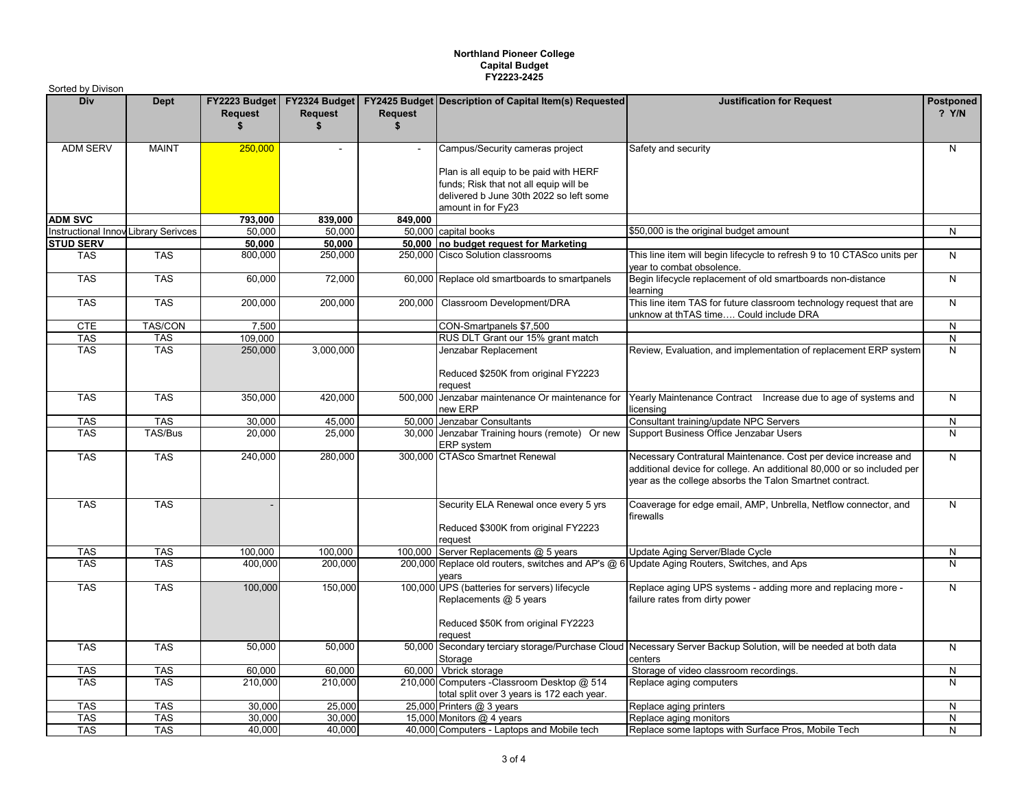## **Northland Pioneer College Capital Budget FY2223-2425**

| Sorted by Divison                    |              |               |                                                         |                      |                                                                                                                                                   |                                                                                                                                                                                                       |                      |
|--------------------------------------|--------------|---------------|---------------------------------------------------------|----------------------|---------------------------------------------------------------------------------------------------------------------------------------------------|-------------------------------------------------------------------------------------------------------------------------------------------------------------------------------------------------------|----------------------|
| Div                                  | <b>Dept</b>  | Request<br>\$ | FY2223 Budget   FY2324 Budget  <br><b>Request</b><br>\$ | <b>Request</b><br>\$ | <b>FY2425 Budget Description of Capital Item(s) Requested</b>                                                                                     | <b>Justification for Request</b>                                                                                                                                                                      | Postponed<br>$?$ Y/N |
| <b>ADM SERV</b>                      | <b>MAINT</b> | 250,000       | $\mathbf{r}$                                            | $\blacksquare$       | Campus/Security cameras project                                                                                                                   | Safety and security                                                                                                                                                                                   | N                    |
|                                      |              |               |                                                         |                      | Plan is all equip to be paid with HERF<br>funds; Risk that not all equip will be<br>delivered b June 30th 2022 so left some<br>amount in for Fy23 |                                                                                                                                                                                                       |                      |
| <b>ADM SVC</b>                       |              | 793,000       | 839.000                                                 | 849.000              |                                                                                                                                                   |                                                                                                                                                                                                       |                      |
| Instructional Innov Library Serivces |              | 50,000        | 50,000                                                  |                      | 50,000 capital books                                                                                                                              | \$50,000 is the original budget amount                                                                                                                                                                | N                    |
| <b>STUD SERV</b>                     |              | 50.000        | 50,000                                                  |                      | 50,000 no budget request for Marketing                                                                                                            |                                                                                                                                                                                                       |                      |
| <b>TAS</b>                           | <b>TAS</b>   | 800,000       | 250,000                                                 |                      | 250,000 Cisco Solution classrooms                                                                                                                 | This line item will begin lifecycle to refresh 9 to 10 CTASco units per<br>year to combat obsolence.                                                                                                  | N                    |
| <b>TAS</b>                           | <b>TAS</b>   | 60,000        | 72,000                                                  |                      | 60,000 Replace old smartboards to smartpanels                                                                                                     | Begin lifecycle replacement of old smartboards non-distance<br>learning                                                                                                                               | N                    |
| <b>TAS</b>                           | <b>TAS</b>   | 200,000       | 200,000                                                 | 200.000              | Classroom Development/DRA                                                                                                                         | This line item TAS for future classroom technology request that are<br>unknow at thTAS time Could include DRA                                                                                         | $\overline{N}$       |
| <b>CTE</b>                           | TAS/CON      | 7,500         |                                                         |                      | CON-Smartpanels \$7,500                                                                                                                           |                                                                                                                                                                                                       | N                    |
| <b>TAS</b>                           | <b>TAS</b>   | 109,000       |                                                         |                      | RUS DLT Grant our 15% grant match                                                                                                                 |                                                                                                                                                                                                       | ${\sf N}$            |
| <b>TAS</b>                           | <b>TAS</b>   | 250,000       | 3,000,000                                               |                      | Jenzabar Replacement                                                                                                                              | Review, Evaluation, and implementation of replacement ERP system                                                                                                                                      | $\mathsf{N}$         |
|                                      |              |               |                                                         |                      | Reduced \$250K from original FY2223<br>request                                                                                                    |                                                                                                                                                                                                       |                      |
| <b>TAS</b>                           | <b>TAS</b>   | 350,000       | 420,000                                                 |                      | 500,000 Jenzabar maintenance Or maintenance for<br>new ERP                                                                                        | Yearly Maintenance Contract  Increase due to age of systems and<br>licensina                                                                                                                          | N                    |
| <b>TAS</b>                           | <b>TAS</b>   | 30,000        | 45,000                                                  |                      | 50,000 Jenzabar Consultants                                                                                                                       | Consultant training/update NPC Servers                                                                                                                                                                | ${\sf N}$            |
| <b>TAS</b>                           | TAS/Bus      | 20,000        | 25,000                                                  |                      | 30,000 Jenzabar Training hours (remote) Or new<br>ERP system                                                                                      | Support Business Office Jenzabar Users                                                                                                                                                                | N                    |
| <b>TAS</b>                           | <b>TAS</b>   | 240,000       | 280,000                                                 |                      | 300,000 CTASco Smartnet Renewal                                                                                                                   | Necessary Contratural Maintenance. Cost per device increase and<br>additional device for college. An additional 80,000 or so included per<br>year as the college absorbs the Talon Smartnet contract. | $\mathsf{N}$         |
| <b>TAS</b>                           | <b>TAS</b>   |               |                                                         |                      | Security ELA Renewal once every 5 yrs<br>Reduced \$300K from original FY2223<br>request                                                           | Coaverage for edge email, AMP, Unbrella, Netflow connector, and<br>firewalls                                                                                                                          | N                    |
| <b>TAS</b>                           | <b>TAS</b>   | 100.000       | 100.000                                                 |                      | 100,000 Server Replacements @ 5 years                                                                                                             | Update Aging Server/Blade Cycle                                                                                                                                                                       | ${\sf N}$            |
| <b>TAS</b>                           | <b>TAS</b>   | 400,000       | 200,000                                                 |                      | 200,000 Replace old routers, switches and AP's @ 6<br>vears                                                                                       | Update Aging Routers, Switches, and Aps                                                                                                                                                               | $\overline{N}$       |
| <b>TAS</b>                           | <b>TAS</b>   | 100,000       | 150,000                                                 |                      | 100,000 UPS (batteries for servers) lifecycle<br>Replacements @ 5 years                                                                           | Replace aging UPS systems - adding more and replacing more -<br>failure rates from dirty power                                                                                                        | $\mathsf{N}$         |
|                                      |              |               |                                                         |                      | Reduced \$50K from original FY2223<br>request                                                                                                     |                                                                                                                                                                                                       |                      |
| <b>TAS</b>                           | <b>TAS</b>   | 50,000        | 50,000                                                  |                      | 50,000 Secondary terciary storage/Purchase Cloud<br>Storage                                                                                       | Necessary Server Backup Solution, will be needed at both data<br>centers                                                                                                                              | $\mathsf{N}$         |
| <b>TAS</b>                           | <b>TAS</b>   | 60,000        | 60.000                                                  |                      | 60,000 Vbrick storage                                                                                                                             | Storage of video classroom recordings.                                                                                                                                                                | ${\sf N}$            |
| <b>TAS</b>                           | <b>TAS</b>   | 210,000       | 210,000                                                 |                      | 210,000 Computers - Classroom Desktop @ 514<br>total split over 3 years is 172 each year.                                                         | Replace aging computers                                                                                                                                                                               | N                    |
| <b>TAS</b>                           | <b>TAS</b>   | 30,000        | 25,000                                                  |                      | 25,000 Printers @ 3 years                                                                                                                         | Replace aging printers                                                                                                                                                                                | N                    |
| <b>TAS</b>                           | <b>TAS</b>   | 30,000        | 30,000                                                  |                      | 15,000 Monitors @ 4 years                                                                                                                         | Replace aging monitors                                                                                                                                                                                | N                    |
| <b>TAS</b>                           | <b>TAS</b>   | 40.000        | 40.000                                                  |                      | 40,000 Computers - Laptops and Mobile tech                                                                                                        | Replace some laptops with Surface Pros, Mobile Tech                                                                                                                                                   | N                    |